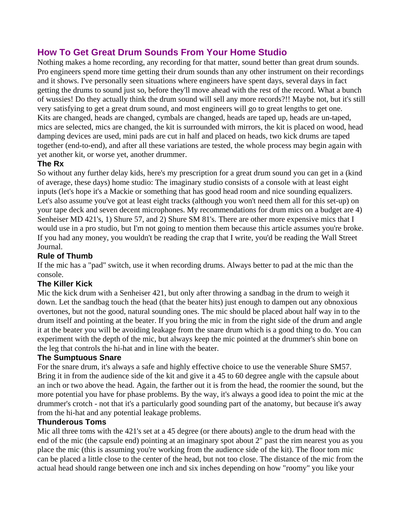# **How To Get Great Drum Sounds From Your Home Studio**

Nothing makes a home recording, any recording for that matter, sound better than great drum sounds. Pro engineers spend more time getting their drum sounds than any other instrument on their recordings and it shows. I've personally seen situations where engineers have spent days, several days in fact getting the drums to sound just so, before they'll move ahead with the rest of the record. What a bunch of wussies! Do they actually think the drum sound will sell any more records?!! Maybe not, but it's still very satisfying to get a great drum sound, and most engineers will go to great lengths to get one. Kits are changed, heads are changed, cymbals are changed, heads are taped up, heads are un-taped, mics are selected, mics are changed, the kit is surrounded with mirrors, the kit is placed on wood, head damping devices are used, mini pads are cut in half and placed on heads, two kick drums are taped together (end-to-end), and after all these variations are tested, the whole process may begin again with yet another kit, or worse yet, another drummer.

## **The Rx**

So without any further delay kids, here's my prescription for a great drum sound you can get in a (kind of average, these days) home studio: The imaginary studio consists of a console with at least eight inputs (let's hope it's a Mackie or something that has good head room and nice sounding equalizers. Let's also assume you've got at least eight tracks (although you won't need them all for this set-up) on your tape deck and seven decent microphones. My recommendations for drum mics on a budget are 4) Senheiser MD 421's, 1) Shure 57, and 2) Shure SM 81's. There are other more expensive mics that I would use in a pro studio, but I'm not going to mention them because this article assumes you're broke. If you had any money, you wouldn't be reading the crap that I write, you'd be reading the Wall Street Journal.

## **Rule of Thumb**

If the mic has a "pad" switch, use it when recording drums. Always better to pad at the mic than the console.

## **The Killer Kick**

Mic the kick drum with a Senheiser 421, but only after throwing a sandbag in the drum to weigh it down. Let the sandbag touch the head (that the beater hits) just enough to dampen out any obnoxious overtones, but not the good, natural sounding ones. The mic should be placed about half way in to the drum itself and pointing at the beater. If you bring the mic in from the right side of the drum and angle it at the beater you will be avoiding leakage from the snare drum which is a good thing to do. You can experiment with the depth of the mic, but always keep the mic pointed at the drummer's shin bone on the leg that controls the hi-hat and in line with the beater.

## **The Sumptuous Snare**

For the snare drum, it's always a safe and highly effective choice to use the venerable Shure SM57. Bring it in from the audience side of the kit and give it a 45 to 60 degree angle with the capsule about an inch or two above the head. Again, the farther out it is from the head, the roomier the sound, but the more potential you have for phase problems. By the way, it's always a good idea to point the mic at the drummer's crotch - not that it's a particularly good sounding part of the anatomy, but because it's away from the hi-hat and any potential leakage problems.

#### **Thunderous Toms**

Mic all three toms with the 421's set at a 45 degree (or there abouts) angle to the drum head with the end of the mic (the capsule end) pointing at an imaginary spot about 2" past the rim nearest you as you place the mic (this is assuming you're working from the audience side of the kit). The floor tom mic can be placed a little close to the center of the head, but not too close. The distance of the mic from the actual head should range between one inch and six inches depending on how "roomy" you like your